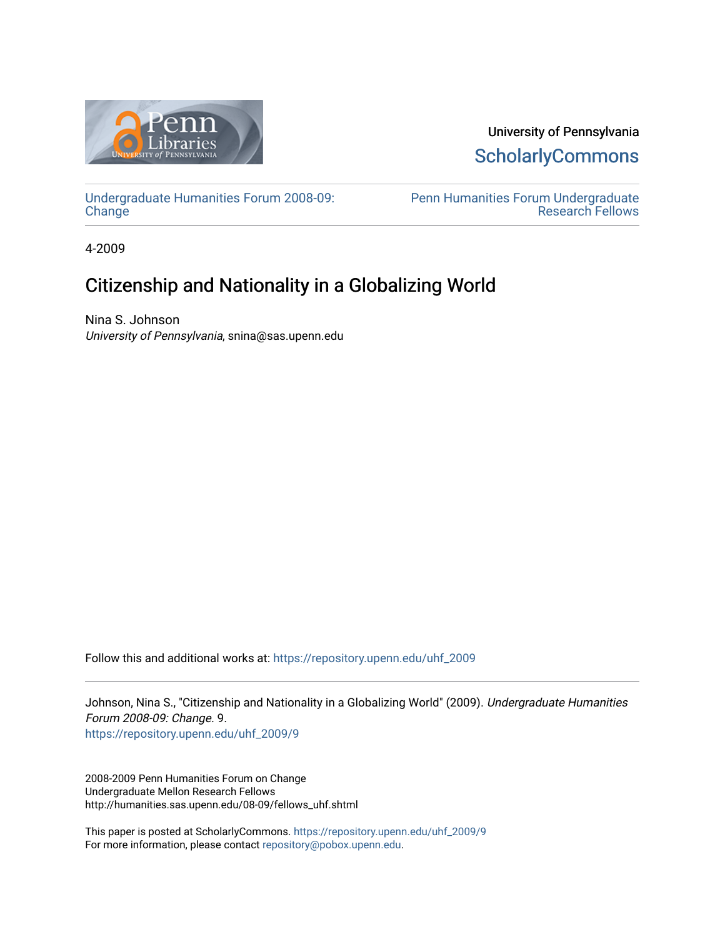

University of Pennsylvania **ScholarlyCommons** 

[Undergraduate Humanities Forum 2008-09:](https://repository.upenn.edu/uhf_2009)  **[Change](https://repository.upenn.edu/uhf_2009)** 

[Penn Humanities Forum Undergraduate](https://repository.upenn.edu/uhf_fellows)  [Research Fellows](https://repository.upenn.edu/uhf_fellows) 

4-2009

# Citizenship and Nationality in a Globalizing World

Nina S. Johnson University of Pennsylvania, snina@sas.upenn.edu

Follow this and additional works at: [https://repository.upenn.edu/uhf\\_2009](https://repository.upenn.edu/uhf_2009?utm_source=repository.upenn.edu%2Fuhf_2009%2F9&utm_medium=PDF&utm_campaign=PDFCoverPages) 

Johnson, Nina S., "Citizenship and Nationality in a Globalizing World" (2009). Undergraduate Humanities Forum 2008-09: Change. 9. [https://repository.upenn.edu/uhf\\_2009/9](https://repository.upenn.edu/uhf_2009/9?utm_source=repository.upenn.edu%2Fuhf_2009%2F9&utm_medium=PDF&utm_campaign=PDFCoverPages) 

2008-2009 Penn Humanities Forum on Change Undergraduate Mellon Research Fellows http://humanities.sas.upenn.edu/08-09/fellows\_uhf.shtml

This paper is posted at ScholarlyCommons. [https://repository.upenn.edu/uhf\\_2009/9](https://repository.upenn.edu/uhf_2009/9)  For more information, please contact [repository@pobox.upenn.edu.](mailto:repository@pobox.upenn.edu)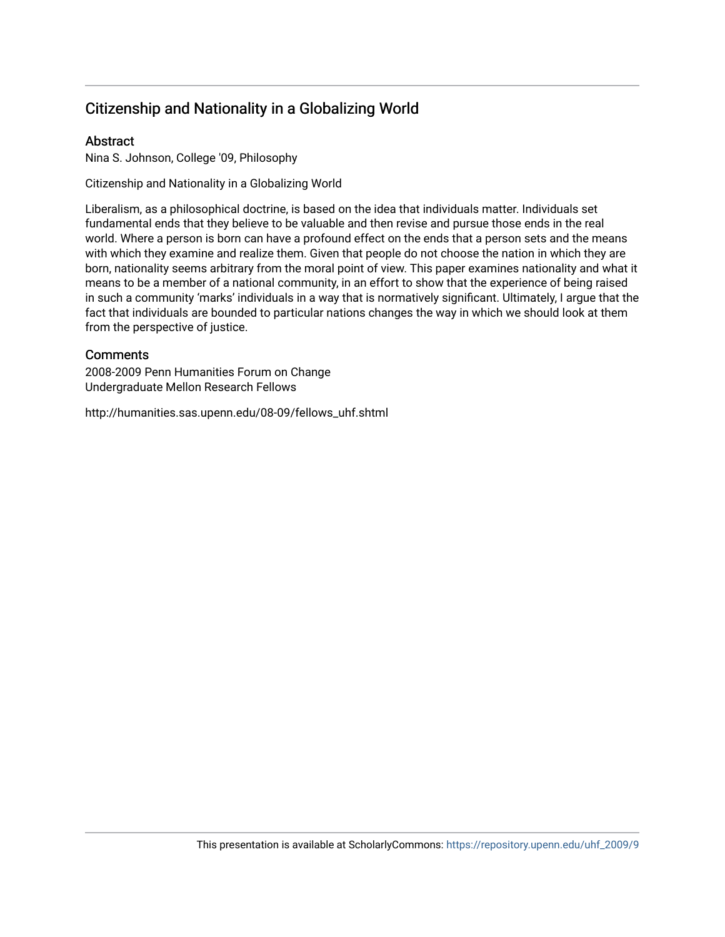# Citizenship and Nationality in a Globalizing World

# **Abstract**

Nina S. Johnson, College '09, Philosophy

Citizenship and Nationality in a Globalizing World

Liberalism, as a philosophical doctrine, is based on the idea that individuals matter. Individuals set fundamental ends that they believe to be valuable and then revise and pursue those ends in the real world. Where a person is born can have a profound effect on the ends that a person sets and the means with which they examine and realize them. Given that people do not choose the nation in which they are born, nationality seems arbitrary from the moral point of view. This paper examines nationality and what it means to be a member of a national community, in an effort to show that the experience of being raised in such a community 'marks' individuals in a way that is normatively significant. Ultimately, I argue that the fact that individuals are bounded to particular nations changes the way in which we should look at them from the perspective of justice.

## **Comments**

2008-2009 Penn Humanities Forum on Change Undergraduate Mellon Research Fellows

http://humanities.sas.upenn.edu/08-09/fellows\_uhf.shtml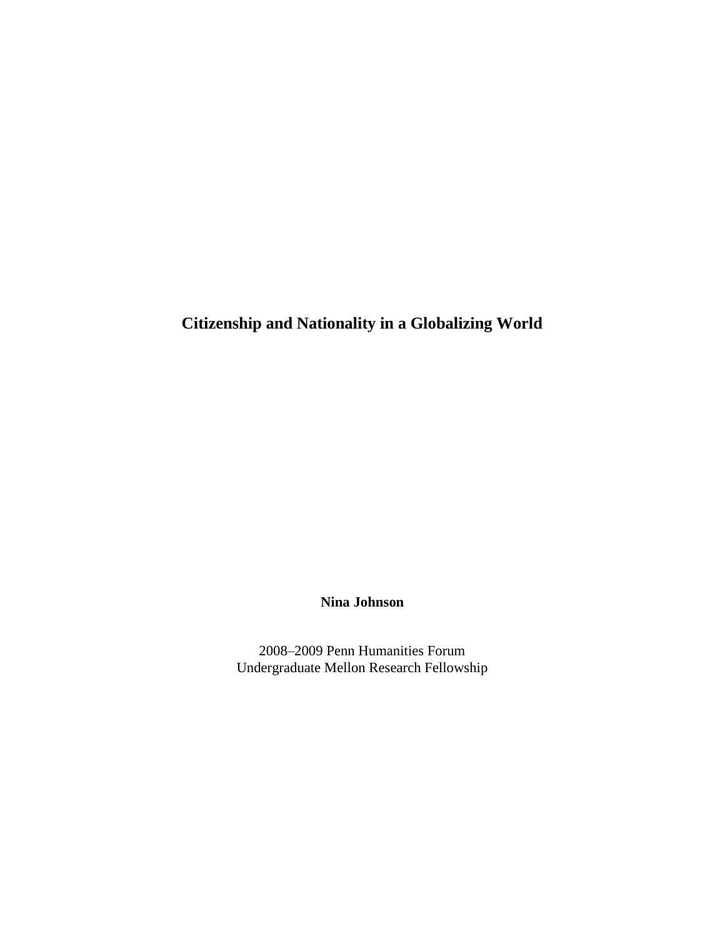**Citizenship and Nationality in a Globalizing World**

**Nina Johnson**

2008–2009 Penn Humanities Forum Undergraduate Mellon Research Fellowship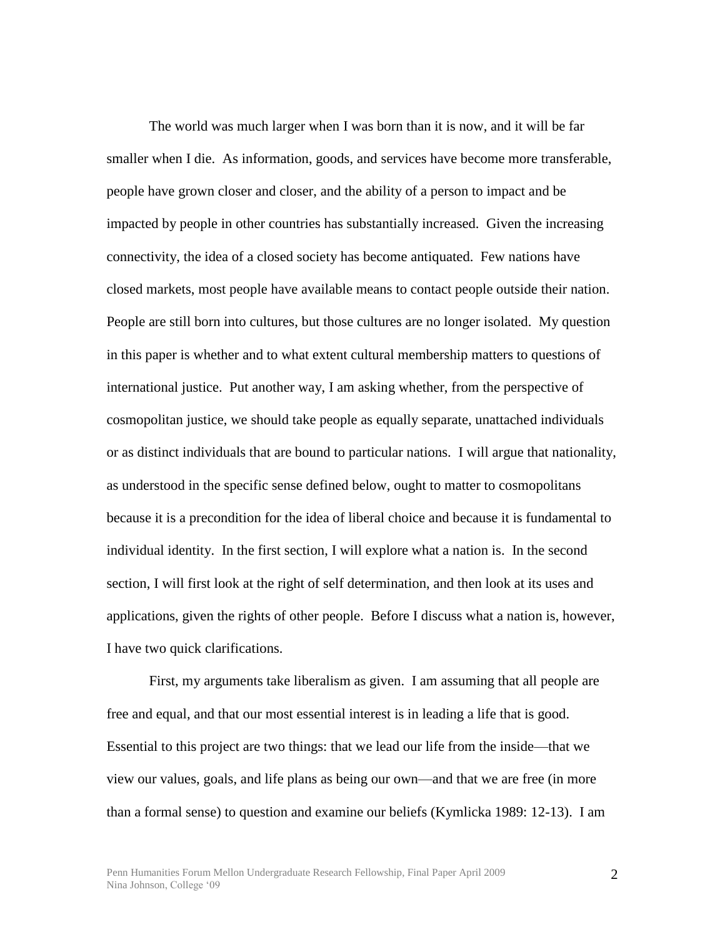The world was much larger when I was born than it is now, and it will be far smaller when I die. As information, goods, and services have become more transferable, people have grown closer and closer, and the ability of a person to impact and be impacted by people in other countries has substantially increased. Given the increasing connectivity, the idea of a closed society has become antiquated. Few nations have closed markets, most people have available means to contact people outside their nation. People are still born into cultures, but those cultures are no longer isolated. My question in this paper is whether and to what extent cultural membership matters to questions of international justice. Put another way, I am asking whether, from the perspective of cosmopolitan justice, we should take people as equally separate, unattached individuals or as distinct individuals that are bound to particular nations. I will argue that nationality, as understood in the specific sense defined below, ought to matter to cosmopolitans because it is a precondition for the idea of liberal choice and because it is fundamental to individual identity. In the first section, I will explore what a nation is. In the second section, I will first look at the right of self determination, and then look at its uses and applications, given the rights of other people. Before I discuss what a nation is, however, I have two quick clarifications.

First, my arguments take liberalism as given. I am assuming that all people are free and equal, and that our most essential interest is in leading a life that is good. Essential to this project are two things: that we lead our life from the inside—that we view our values, goals, and life plans as being our own—and that we are free (in more than a formal sense) to question and examine our beliefs (Kymlicka 1989: 12-13). I am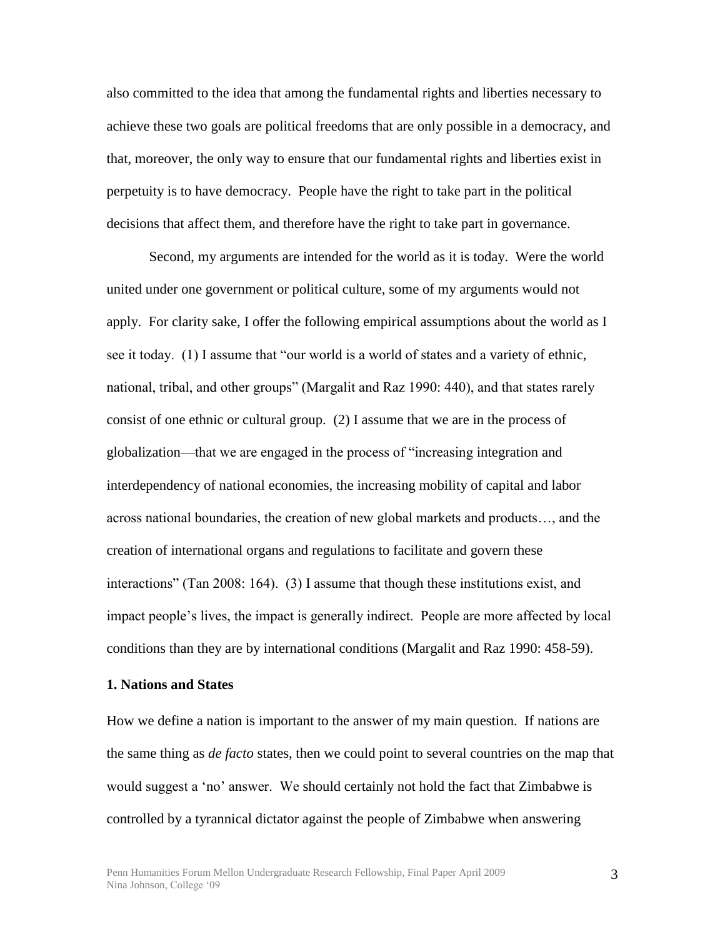also committed to the idea that among the fundamental rights and liberties necessary to achieve these two goals are political freedoms that are only possible in a democracy, and that, moreover, the only way to ensure that our fundamental rights and liberties exist in perpetuity is to have democracy. People have the right to take part in the political decisions that affect them, and therefore have the right to take part in governance.

Second, my arguments are intended for the world as it is today. Were the world united under one government or political culture, some of my arguments would not apply. For clarity sake, I offer the following empirical assumptions about the world as I see it today. (1) I assume that "our world is a world of states and a variety of ethnic, national, tribal, and other groups" (Margalit and Raz 1990: 440), and that states rarely consist of one ethnic or cultural group. (2) I assume that we are in the process of globalization—that we are engaged in the process of "increasing integration and interdependency of national economies, the increasing mobility of capital and labor across national boundaries, the creation of new global markets and products…, and the creation of international organs and regulations to facilitate and govern these interactions" (Tan 2008: 164). (3) I assume that though these institutions exist, and impact people's lives, the impact is generally indirect. People are more affected by local conditions than they are by international conditions (Margalit and Raz 1990: 458-59).

#### **1. Nations and States**

How we define a nation is important to the answer of my main question. If nations are the same thing as *de facto* states, then we could point to several countries on the map that would suggest a 'no' answer. We should certainly not hold the fact that Zimbabwe is controlled by a tyrannical dictator against the people of Zimbabwe when answering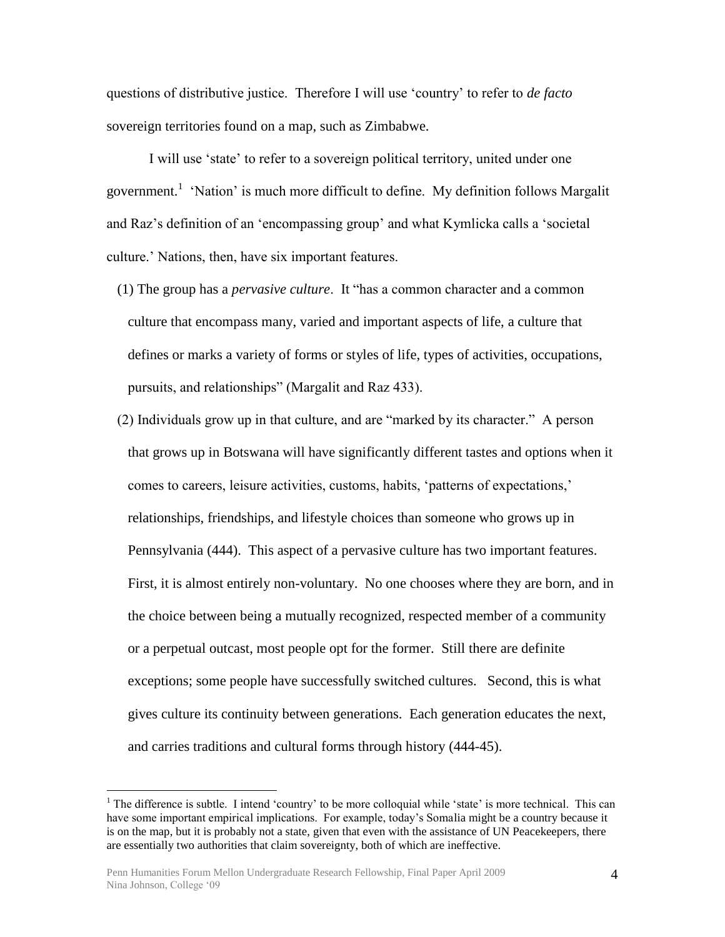questions of distributive justice. Therefore I will use ‗country' to refer to *de facto* sovereign territories found on a map, such as Zimbabwe.

I will use 'state' to refer to a sovereign political territory, united under one government.<sup>1</sup> 'Nation' is much more difficult to define. My definition follows Margalit and Raz's definition of an 'encompassing group' and what Kymlicka calls a 'societal culture.' Nations, then, have six important features.

- (1) The group has a *pervasive culture*. It "has a common character and a common culture that encompass many, varied and important aspects of life, a culture that defines or marks a variety of forms or styles of life, types of activities, occupations, pursuits, and relationships" (Margalit and Raz 433).
- $(2)$  Individuals grow up in that culture, and are "marked by its character." A person that grows up in Botswana will have significantly different tastes and options when it comes to careers, leisure activities, customs, habits, ‗patterns of expectations,' relationships, friendships, and lifestyle choices than someone who grows up in Pennsylvania (444). This aspect of a pervasive culture has two important features. First, it is almost entirely non-voluntary. No one chooses where they are born, and in the choice between being a mutually recognized, respected member of a community or a perpetual outcast, most people opt for the former. Still there are definite exceptions; some people have successfully switched cultures. Second, this is what gives culture its continuity between generations. Each generation educates the next, and carries traditions and cultural forms through history (444-45).

 $\overline{a}$ 

<sup>&</sup>lt;sup>1</sup> The difference is subtle. I intend 'country' to be more colloquial while 'state' is more technical. This can have some important empirical implications. For example, today's Somalia might be a country because it is on the map, but it is probably not a state, given that even with the assistance of UN Peacekeepers, there are essentially two authorities that claim sovereignty, both of which are ineffective.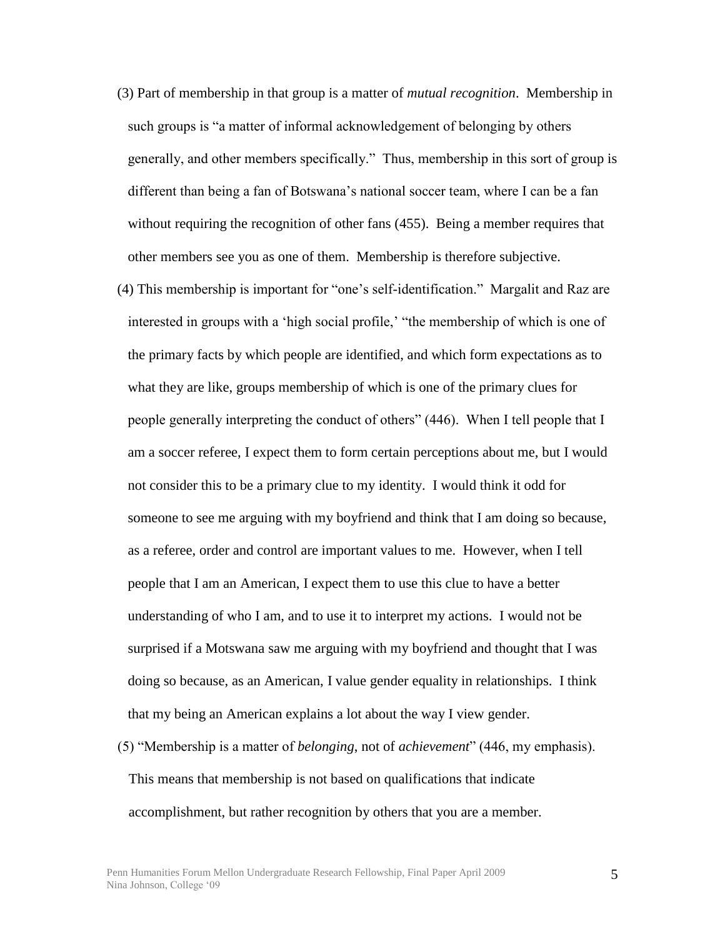- (3) Part of membership in that group is a matter of *mutual recognition*. Membership in such groups is "a matter of informal acknowledgement of belonging by others generally, and other members specifically." Thus, membership in this sort of group is different than being a fan of Botswana's national soccer team, where I can be a fan without requiring the recognition of other fans (455). Being a member requires that other members see you as one of them. Membership is therefore subjective.
- (4) This membership is important for "one's self-identification." Margalit and Raz are interested in groups with a 'high social profile,' "the membership of which is one of the primary facts by which people are identified, and which form expectations as to what they are like, groups membership of which is one of the primary clues for people generally interpreting the conduct of others" (446). When I tell people that I am a soccer referee, I expect them to form certain perceptions about me, but I would not consider this to be a primary clue to my identity. I would think it odd for someone to see me arguing with my boyfriend and think that I am doing so because, as a referee, order and control are important values to me. However, when I tell people that I am an American, I expect them to use this clue to have a better understanding of who I am, and to use it to interpret my actions. I would not be surprised if a Motswana saw me arguing with my boyfriend and thought that I was doing so because, as an American, I value gender equality in relationships. I think that my being an American explains a lot about the way I view gender.
- (5) ―Membership is a matter of *belonging*, not of *achievement*‖ (446, my emphasis). This means that membership is not based on qualifications that indicate accomplishment, but rather recognition by others that you are a member.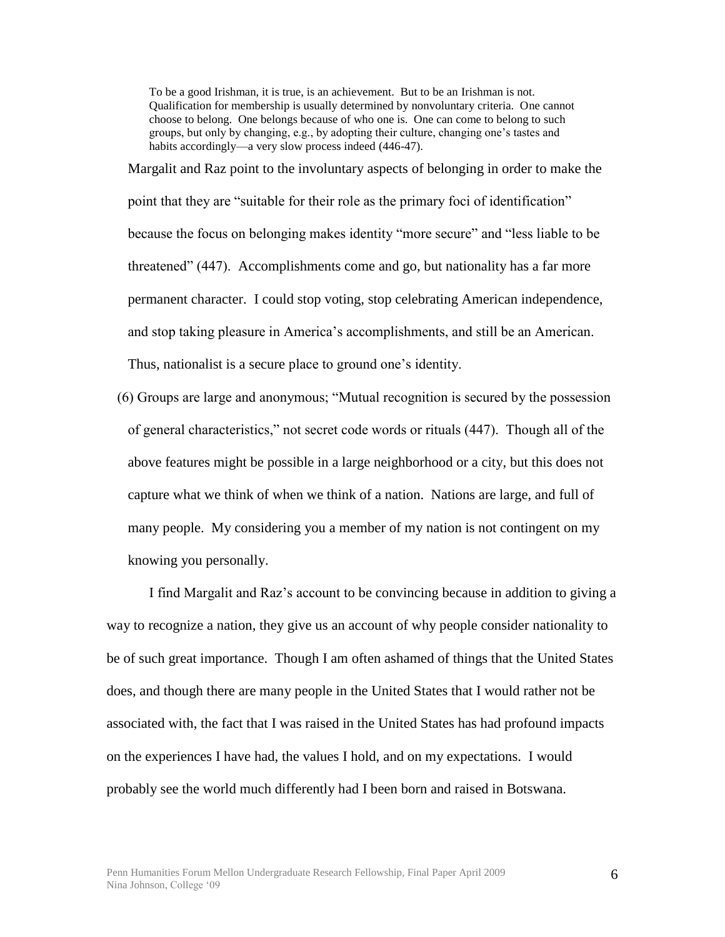To be a good Irishman, it is true, is an achievement. But to be an Irishman is not. Qualification for membership is usually determined by nonvoluntary criteria. One cannot choose to belong. One belongs because of who one is. One can come to belong to such groups, but only by changing, e.g., by adopting their culture, changing one's tastes and habits accordingly—a very slow process indeed (446-47).

Margalit and Raz point to the involuntary aspects of belonging in order to make the point that they are "suitable for their role as the primary foci of identification" because the focus on belonging makes identity "more secure" and "less liable to be threatened" (447). Accomplishments come and go, but nationality has a far more permanent character. I could stop voting, stop celebrating American independence, and stop taking pleasure in America's accomplishments, and still be an American. Thus, nationalist is a secure place to ground one's identity.

(6) Groups are large and anonymous; ―Mutual recognition is secured by the possession of general characteristics," not secret code words or rituals (447). Though all of the above features might be possible in a large neighborhood or a city, but this does not capture what we think of when we think of a nation. Nations are large, and full of many people. My considering you a member of my nation is not contingent on my knowing you personally.

I find Margalit and Raz's account to be convincing because in addition to giving a way to recognize a nation, they give us an account of why people consider nationality to be of such great importance. Though I am often ashamed of things that the United States does, and though there are many people in the United States that I would rather not be associated with, the fact that I was raised in the United States has had profound impacts on the experiences I have had, the values I hold, and on my expectations. I would probably see the world much differently had I been born and raised in Botswana.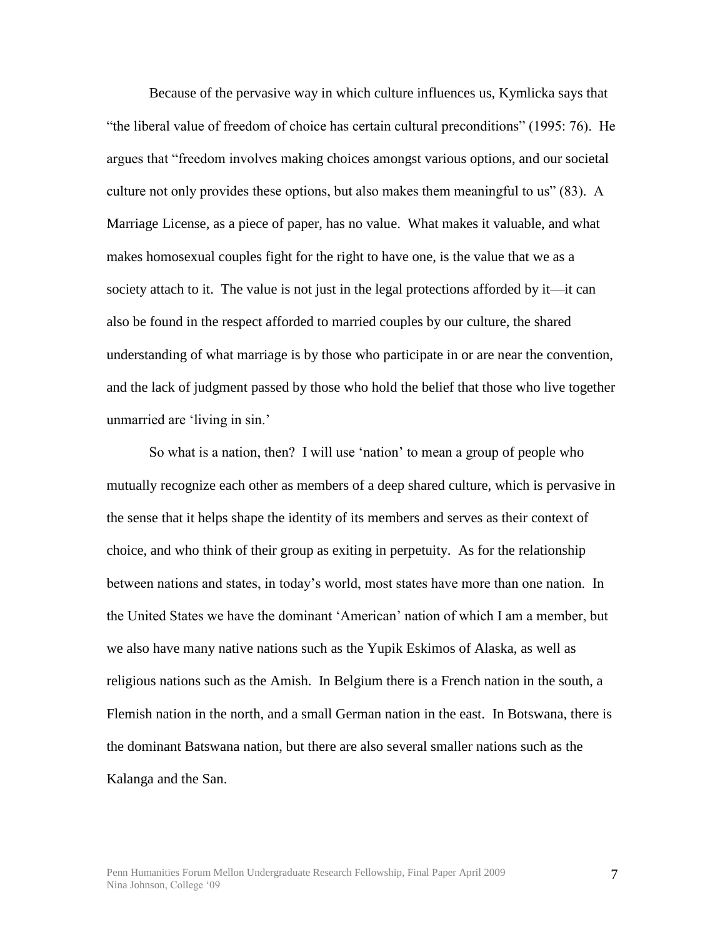Because of the pervasive way in which culture influences us, Kymlicka says that ―the liberal value of freedom of choice has certain cultural preconditions‖ (1995: 76). He argues that ―freedom involves making choices amongst various options, and our societal culture not only provides these options, but also makes them meaningful to us"  $(83)$ . A Marriage License, as a piece of paper, has no value. What makes it valuable, and what makes homosexual couples fight for the right to have one, is the value that we as a society attach to it. The value is not just in the legal protections afforded by it—it can also be found in the respect afforded to married couples by our culture, the shared understanding of what marriage is by those who participate in or are near the convention, and the lack of judgment passed by those who hold the belief that those who live together unmarried are 'living in sin.'

So what is a nation, then? I will use 'nation' to mean a group of people who mutually recognize each other as members of a deep shared culture, which is pervasive in the sense that it helps shape the identity of its members and serves as their context of choice, and who think of their group as exiting in perpetuity. As for the relationship between nations and states, in today's world, most states have more than one nation. In the United States we have the dominant ‗American' nation of which I am a member, but we also have many native nations such as the Yupik Eskimos of Alaska, as well as religious nations such as the Amish. In Belgium there is a French nation in the south, a Flemish nation in the north, and a small German nation in the east. In Botswana, there is the dominant Batswana nation, but there are also several smaller nations such as the Kalanga and the San.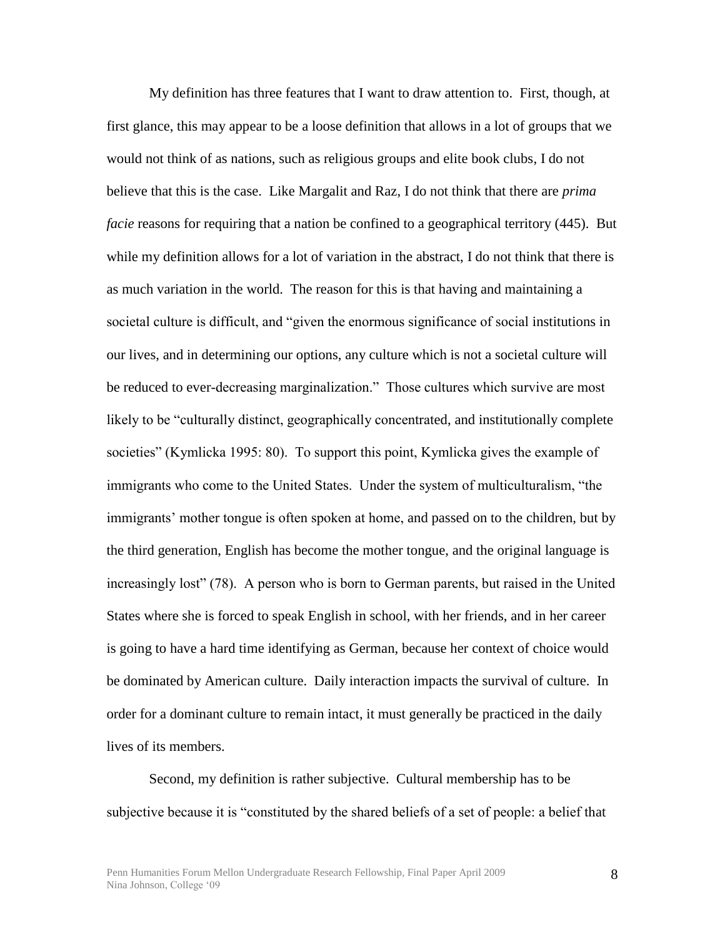My definition has three features that I want to draw attention to. First, though, at first glance, this may appear to be a loose definition that allows in a lot of groups that we would not think of as nations, such as religious groups and elite book clubs, I do not believe that this is the case. Like Margalit and Raz, I do not think that there are *prima facie* reasons for requiring that a nation be confined to a geographical territory (445). But while my definition allows for a lot of variation in the abstract, I do not think that there is as much variation in the world. The reason for this is that having and maintaining a societal culture is difficult, and "given the enormous significance of social institutions in our lives, and in determining our options, any culture which is not a societal culture will be reduced to ever-decreasing marginalization." Those cultures which survive are most likely to be "culturally distinct, geographically concentrated, and institutionally complete societies" (Kymlicka 1995: 80). To support this point, Kymlicka gives the example of immigrants who come to the United States. Under the system of multiculturalism, "the immigrants' mother tongue is often spoken at home, and passed on to the children, but by the third generation, English has become the mother tongue, and the original language is increasingly lost" (78). A person who is born to German parents, but raised in the United States where she is forced to speak English in school, with her friends, and in her career is going to have a hard time identifying as German, because her context of choice would be dominated by American culture. Daily interaction impacts the survival of culture. In order for a dominant culture to remain intact, it must generally be practiced in the daily lives of its members.

Second, my definition is rather subjective. Cultural membership has to be subjective because it is "constituted by the shared beliefs of a set of people: a belief that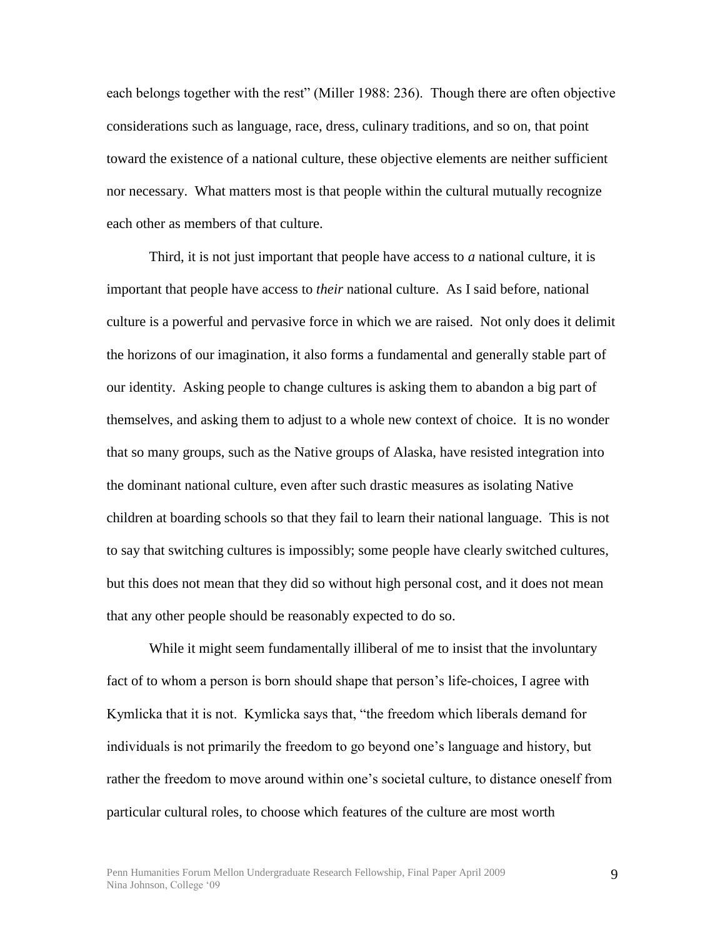each belongs together with the rest" (Miller 1988: 236). Though there are often objective considerations such as language, race, dress, culinary traditions, and so on, that point toward the existence of a national culture, these objective elements are neither sufficient nor necessary. What matters most is that people within the cultural mutually recognize each other as members of that culture.

Third, it is not just important that people have access to *a* national culture, it is important that people have access to *their* national culture. As I said before, national culture is a powerful and pervasive force in which we are raised. Not only does it delimit the horizons of our imagination, it also forms a fundamental and generally stable part of our identity. Asking people to change cultures is asking them to abandon a big part of themselves, and asking them to adjust to a whole new context of choice. It is no wonder that so many groups, such as the Native groups of Alaska, have resisted integration into the dominant national culture, even after such drastic measures as isolating Native children at boarding schools so that they fail to learn their national language. This is not to say that switching cultures is impossibly; some people have clearly switched cultures, but this does not mean that they did so without high personal cost, and it does not mean that any other people should be reasonably expected to do so.

While it might seem fundamentally illiberal of me to insist that the involuntary fact of to whom a person is born should shape that person's life-choices, I agree with Kymlicka that it is not. Kymlicka says that, "the freedom which liberals demand for individuals is not primarily the freedom to go beyond one's language and history, but rather the freedom to move around within one's societal culture, to distance oneself from particular cultural roles, to choose which features of the culture are most worth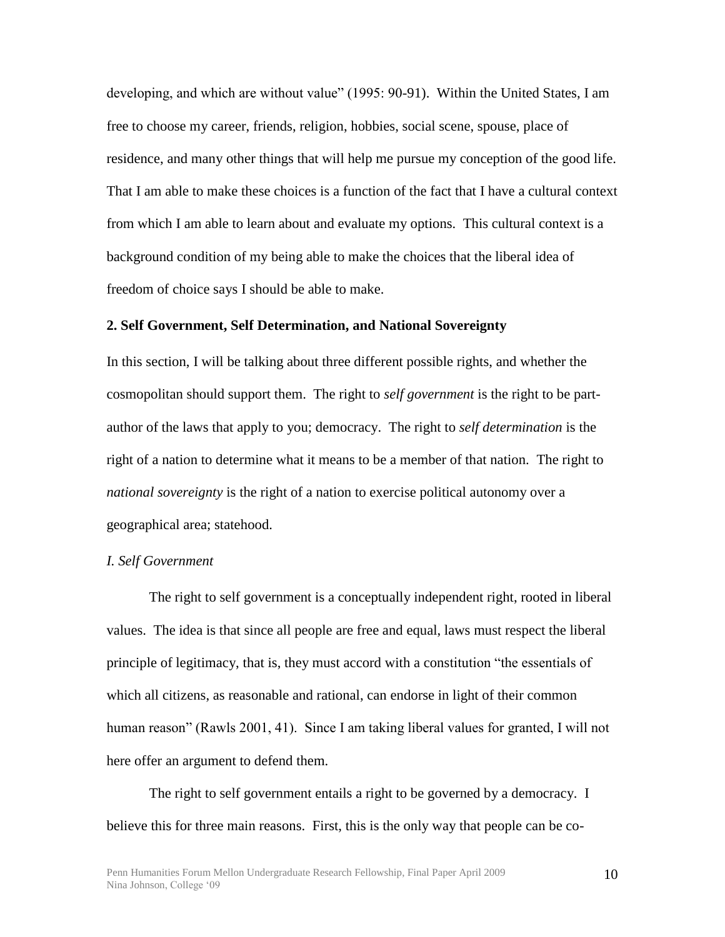developing, and which are without value" (1995: 90-91). Within the United States, I am free to choose my career, friends, religion, hobbies, social scene, spouse, place of residence, and many other things that will help me pursue my conception of the good life. That I am able to make these choices is a function of the fact that I have a cultural context from which I am able to learn about and evaluate my options. This cultural context is a background condition of my being able to make the choices that the liberal idea of freedom of choice says I should be able to make.

## **2. Self Government, Self Determination, and National Sovereignty**

In this section, I will be talking about three different possible rights, and whether the cosmopolitan should support them. The right to *self government* is the right to be partauthor of the laws that apply to you; democracy. The right to *self determination* is the right of a nation to determine what it means to be a member of that nation. The right to *national sovereignty* is the right of a nation to exercise political autonomy over a geographical area; statehood.

#### *I. Self Government*

The right to self government is a conceptually independent right, rooted in liberal values. The idea is that since all people are free and equal, laws must respect the liberal principle of legitimacy, that is, they must accord with a constitution "the essentials of which all citizens, as reasonable and rational, can endorse in light of their common human reason" (Rawls 2001, 41). Since I am taking liberal values for granted, I will not here offer an argument to defend them.

The right to self government entails a right to be governed by a democracy. I believe this for three main reasons. First, this is the only way that people can be co-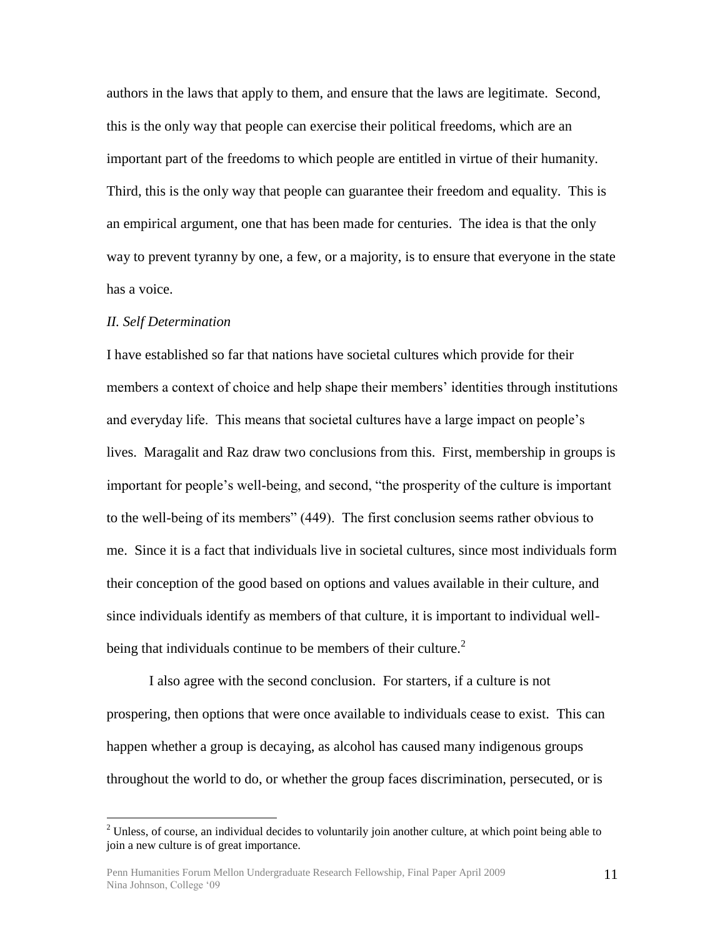authors in the laws that apply to them, and ensure that the laws are legitimate. Second, this is the only way that people can exercise their political freedoms, which are an important part of the freedoms to which people are entitled in virtue of their humanity. Third, this is the only way that people can guarantee their freedom and equality. This is an empirical argument, one that has been made for centuries. The idea is that the only way to prevent tyranny by one, a few, or a majority, is to ensure that everyone in the state has a voice.

#### *II. Self Determination*

 $\overline{a}$ 

I have established so far that nations have societal cultures which provide for their members a context of choice and help shape their members' identities through institutions and everyday life. This means that societal cultures have a large impact on people's lives. Maragalit and Raz draw two conclusions from this. First, membership in groups is important for people's well-being, and second, "the prosperity of the culture is important to the well-being of its members" (449). The first conclusion seems rather obvious to me. Since it is a fact that individuals live in societal cultures, since most individuals form their conception of the good based on options and values available in their culture, and since individuals identify as members of that culture, it is important to individual wellbeing that individuals continue to be members of their culture. $<sup>2</sup>$ </sup>

I also agree with the second conclusion. For starters, if a culture is not prospering, then options that were once available to individuals cease to exist. This can happen whether a group is decaying, as alcohol has caused many indigenous groups throughout the world to do, or whether the group faces discrimination, persecuted, or is

 $<sup>2</sup>$  Unless, of course, an individual decides to voluntarily join another culture, at which point being able to</sup> join a new culture is of great importance.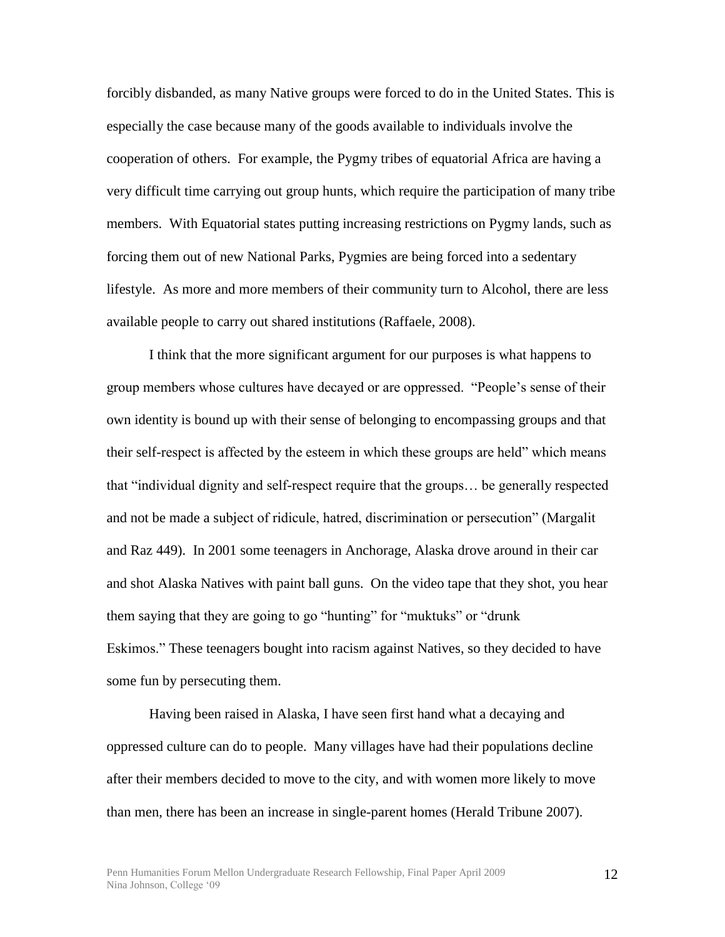forcibly disbanded, as many Native groups were forced to do in the United States. This is especially the case because many of the goods available to individuals involve the cooperation of others. For example, the Pygmy tribes of equatorial Africa are having a very difficult time carrying out group hunts, which require the participation of many tribe members. With Equatorial states putting increasing restrictions on Pygmy lands, such as forcing them out of new National Parks, Pygmies are being forced into a sedentary lifestyle. As more and more members of their community turn to Alcohol, there are less available people to carry out shared institutions (Raffaele, 2008).

I think that the more significant argument for our purposes is what happens to group members whose cultures have decayed or are oppressed. "People's sense of their own identity is bound up with their sense of belonging to encompassing groups and that their self-respect is affected by the esteem in which these groups are held" which means that "individual dignity and self-respect require that the groups... be generally respected and not be made a subject of ridicule, hatred, discrimination or persecution" (Margalit and Raz 449). In 2001 some teenagers in Anchorage, Alaska drove around in their car and shot Alaska Natives with paint ball guns. On the video tape that they shot, you hear them saying that they are going to go "hunting" for "muktuks" or "drunk" Eskimos." These teenagers bought into racism against Natives, so they decided to have some fun by persecuting them.

Having been raised in Alaska, I have seen first hand what a decaying and oppressed culture can do to people. Many villages have had their populations decline after their members decided to move to the city, and with women more likely to move than men, there has been an increase in single-parent homes (Herald Tribune 2007).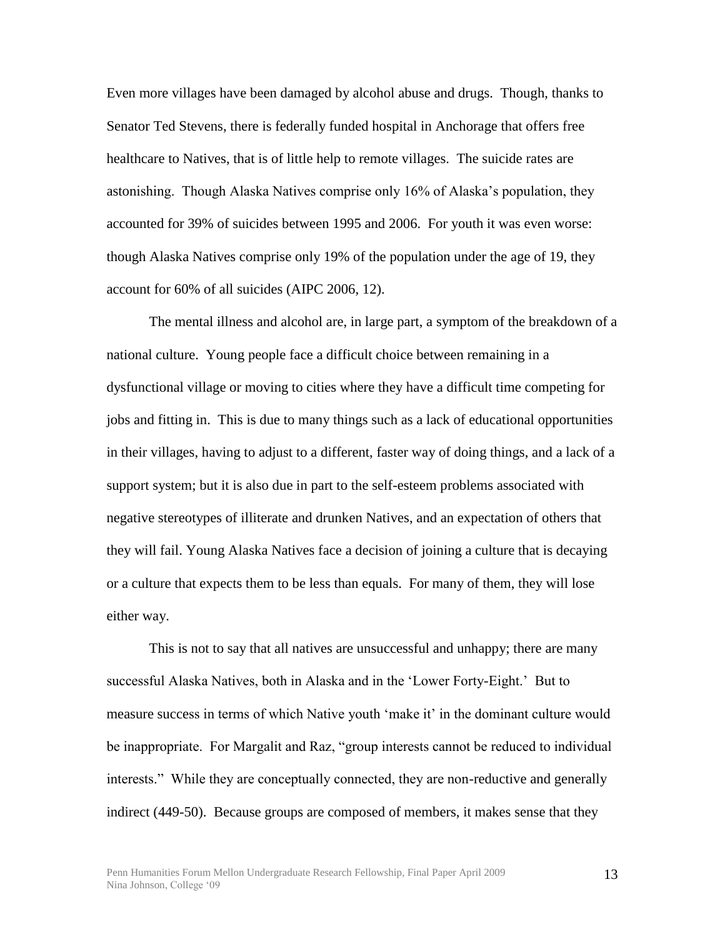Even more villages have been damaged by alcohol abuse and drugs. Though, thanks to Senator Ted Stevens, there is federally funded hospital in Anchorage that offers free healthcare to Natives, that is of little help to remote villages. The suicide rates are astonishing. Though Alaska Natives comprise only 16% of Alaska's population, they accounted for 39% of suicides between 1995 and 2006. For youth it was even worse: though Alaska Natives comprise only 19% of the population under the age of 19, they account for 60% of all suicides (AIPC 2006, 12).

The mental illness and alcohol are, in large part, a symptom of the breakdown of a national culture. Young people face a difficult choice between remaining in a dysfunctional village or moving to cities where they have a difficult time competing for jobs and fitting in. This is due to many things such as a lack of educational opportunities in their villages, having to adjust to a different, faster way of doing things, and a lack of a support system; but it is also due in part to the self-esteem problems associated with negative stereotypes of illiterate and drunken Natives, and an expectation of others that they will fail. Young Alaska Natives face a decision of joining a culture that is decaying or a culture that expects them to be less than equals. For many of them, they will lose either way.

This is not to say that all natives are unsuccessful and unhappy; there are many successful Alaska Natives, both in Alaska and in the ‗Lower Forty-Eight.' But to measure success in terms of which Native youth 'make it' in the dominant culture would be inappropriate. For Margalit and Raz, "group interests cannot be reduced to individual interests." While they are conceptually connected, they are non-reductive and generally indirect (449-50). Because groups are composed of members, it makes sense that they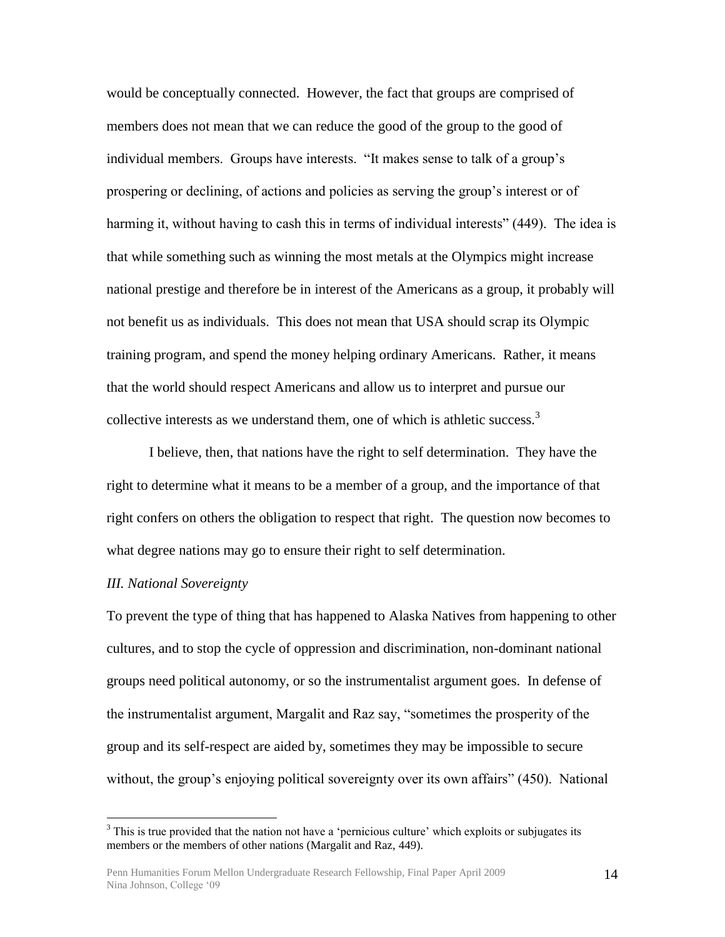would be conceptually connected. However, the fact that groups are comprised of members does not mean that we can reduce the good of the group to the good of individual members. Groups have interests. "It makes sense to talk of a group's prospering or declining, of actions and policies as serving the group's interest or of harming it, without having to cash this in terms of individual interests" (449). The idea is that while something such as winning the most metals at the Olympics might increase national prestige and therefore be in interest of the Americans as a group, it probably will not benefit us as individuals. This does not mean that USA should scrap its Olympic training program, and spend the money helping ordinary Americans. Rather, it means that the world should respect Americans and allow us to interpret and pursue our collective interests as we understand them, one of which is athletic success.<sup>3</sup>

I believe, then, that nations have the right to self determination. They have the right to determine what it means to be a member of a group, and the importance of that right confers on others the obligation to respect that right. The question now becomes to what degree nations may go to ensure their right to self determination.

#### *III. National Sovereignty*

 $\overline{a}$ 

To prevent the type of thing that has happened to Alaska Natives from happening to other cultures, and to stop the cycle of oppression and discrimination, non-dominant national groups need political autonomy, or so the instrumentalist argument goes. In defense of the instrumentalist argument, Margalit and Raz say, "sometimes the prosperity of the group and its self-respect are aided by, sometimes they may be impossible to secure without, the group's enjoying political sovereignty over its own affairs" (450). National

<sup>&</sup>lt;sup>3</sup> This is true provided that the nation not have a 'pernicious culture' which exploits or subjugates its members or the members of other nations (Margalit and Raz, 449).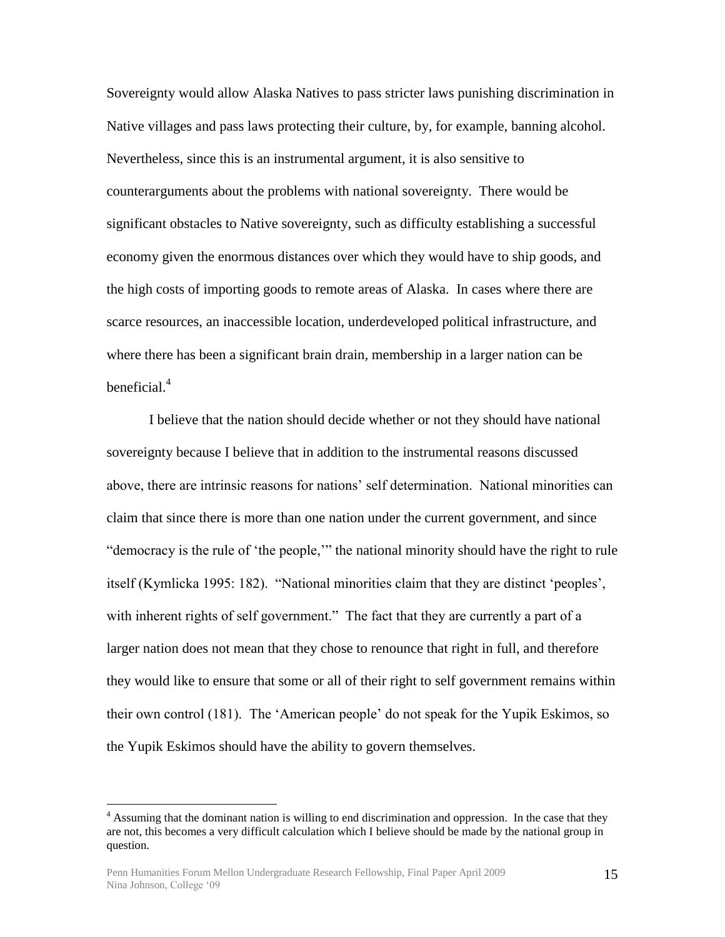Sovereignty would allow Alaska Natives to pass stricter laws punishing discrimination in Native villages and pass laws protecting their culture, by, for example, banning alcohol. Nevertheless, since this is an instrumental argument, it is also sensitive to counterarguments about the problems with national sovereignty. There would be significant obstacles to Native sovereignty, such as difficulty establishing a successful economy given the enormous distances over which they would have to ship goods, and the high costs of importing goods to remote areas of Alaska. In cases where there are scarce resources, an inaccessible location, underdeveloped political infrastructure, and where there has been a significant brain drain, membership in a larger nation can be beneficial.<sup>4</sup>

I believe that the nation should decide whether or not they should have national sovereignty because I believe that in addition to the instrumental reasons discussed above, there are intrinsic reasons for nations' self determination. National minorities can claim that since there is more than one nation under the current government, and since "democracy is the rule of 'the people,'" the national minority should have the right to rule itself (Kymlicka 1995: 182). "National minorities claim that they are distinct 'peoples', with inherent rights of self government." The fact that they are currently a part of a larger nation does not mean that they chose to renounce that right in full, and therefore they would like to ensure that some or all of their right to self government remains within their own control (181). The ‗American people' do not speak for the Yupik Eskimos, so the Yupik Eskimos should have the ability to govern themselves.

 $\overline{a}$ 

<sup>&</sup>lt;sup>4</sup> Assuming that the dominant nation is willing to end discrimination and oppression. In the case that they are not, this becomes a very difficult calculation which I believe should be made by the national group in question.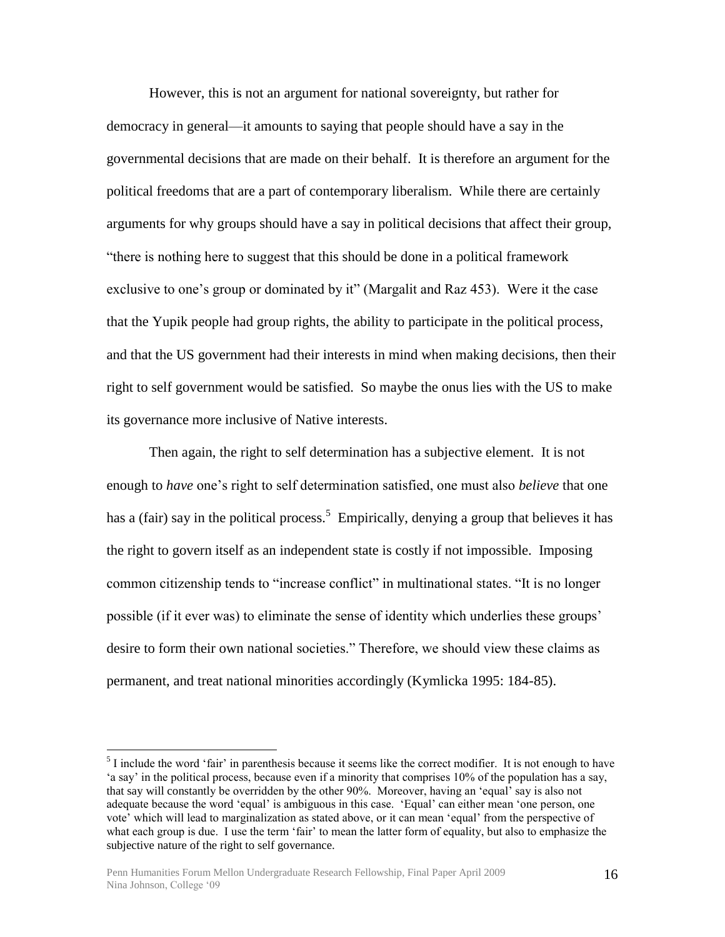However, this is not an argument for national sovereignty, but rather for democracy in general—it amounts to saying that people should have a say in the governmental decisions that are made on their behalf. It is therefore an argument for the political freedoms that are a part of contemporary liberalism. While there are certainly arguments for why groups should have a say in political decisions that affect their group, ―there is nothing here to suggest that this should be done in a political framework exclusive to one's group or dominated by it" (Margalit and Raz 453). Were it the case that the Yupik people had group rights, the ability to participate in the political process, and that the US government had their interests in mind when making decisions, then their right to self government would be satisfied. So maybe the onus lies with the US to make its governance more inclusive of Native interests.

Then again, the right to self determination has a subjective element. It is not enough to *have* one's right to self determination satisfied, one must also *believe* that one has a (fair) say in the political process.<sup>5</sup> Empirically, denying a group that believes it has the right to govern itself as an independent state is costly if not impossible. Imposing common citizenship tends to "increase conflict" in multinational states. "It is no longer possible (if it ever was) to eliminate the sense of identity which underlies these groups' desire to form their own national societies." Therefore, we should view these claims as permanent, and treat national minorities accordingly (Kymlicka 1995: 184-85).

 $\overline{a}$ 

 $<sup>5</sup>$  I include the word 'fair' in parenthesis because it seems like the correct modifier. It is not enough to have</sup> ‗a say' in the political process, because even if a minority that comprises 10% of the population has a say, that say will constantly be overridden by the other 90%. Moreover, having an ‗equal' say is also not adequate because the word 'equal' is ambiguous in this case. 'Equal' can either mean 'one person, one vote' which will lead to marginalization as stated above, or it can mean 'equal' from the perspective of what each group is due. I use the term 'fair' to mean the latter form of equality, but also to emphasize the subjective nature of the right to self governance.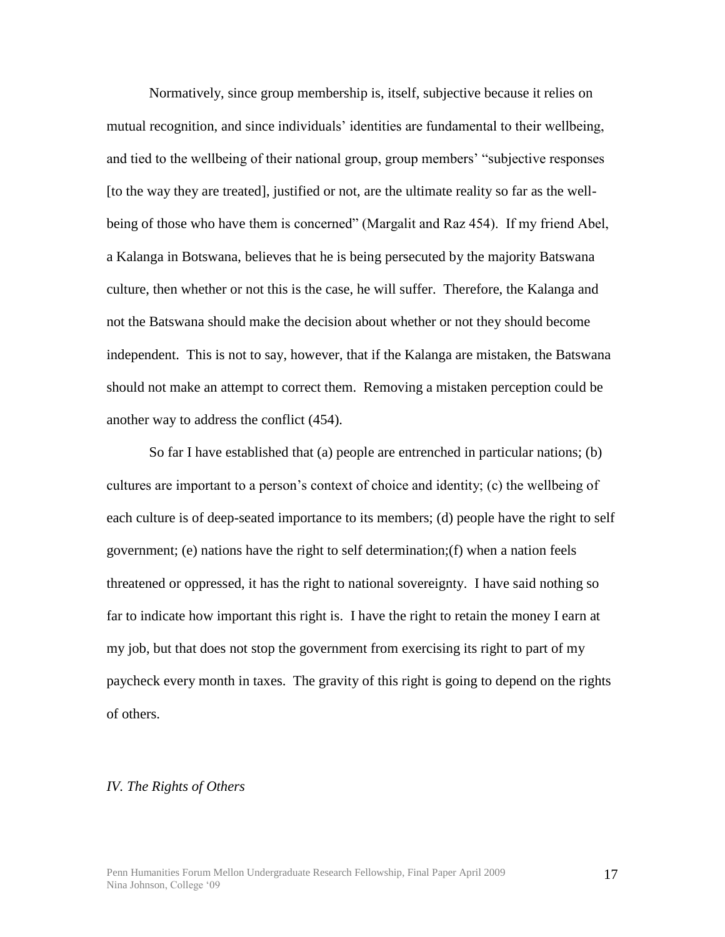Normatively, since group membership is, itself, subjective because it relies on mutual recognition, and since individuals' identities are fundamental to their wellbeing, and tied to the wellbeing of their national group, group members' "subjective responses" [to the way they are treated], justified or not, are the ultimate reality so far as the wellbeing of those who have them is concerned" (Margalit and Raz 454). If my friend Abel, a Kalanga in Botswana, believes that he is being persecuted by the majority Batswana culture, then whether or not this is the case, he will suffer. Therefore, the Kalanga and not the Batswana should make the decision about whether or not they should become independent. This is not to say, however, that if the Kalanga are mistaken, the Batswana should not make an attempt to correct them. Removing a mistaken perception could be another way to address the conflict (454).

So far I have established that (a) people are entrenched in particular nations; (b) cultures are important to a person's context of choice and identity; (c) the wellbeing of each culture is of deep-seated importance to its members; (d) people have the right to self government; (e) nations have the right to self determination;(f) when a nation feels threatened or oppressed, it has the right to national sovereignty. I have said nothing so far to indicate how important this right is. I have the right to retain the money I earn at my job, but that does not stop the government from exercising its right to part of my paycheck every month in taxes. The gravity of this right is going to depend on the rights of others.

#### *IV. The Rights of Others*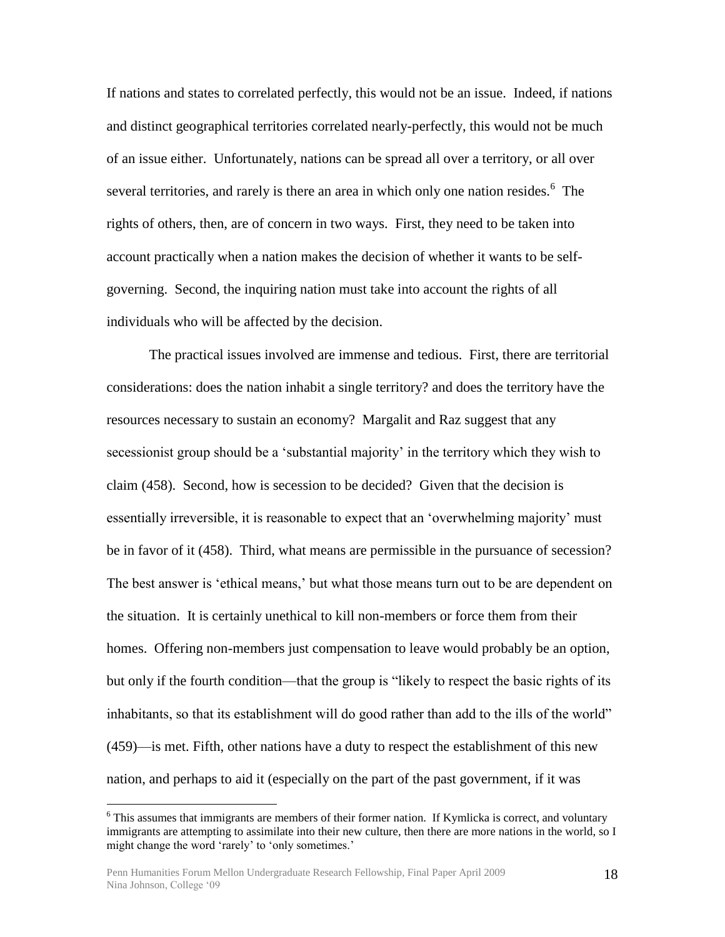If nations and states to correlated perfectly, this would not be an issue. Indeed, if nations and distinct geographical territories correlated nearly-perfectly, this would not be much of an issue either. Unfortunately, nations can be spread all over a territory, or all over several territories, and rarely is there an area in which only one nation resides.  $6$  The rights of others, then, are of concern in two ways. First, they need to be taken into account practically when a nation makes the decision of whether it wants to be selfgoverning. Second, the inquiring nation must take into account the rights of all individuals who will be affected by the decision.

The practical issues involved are immense and tedious. First, there are territorial considerations: does the nation inhabit a single territory? and does the territory have the resources necessary to sustain an economy? Margalit and Raz suggest that any secessionist group should be a 'substantial majority' in the territory which they wish to claim (458). Second, how is secession to be decided? Given that the decision is essentially irreversible, it is reasonable to expect that an 'overwhelming majority' must be in favor of it (458). Third, what means are permissible in the pursuance of secession? The best answer is 'ethical means,' but what those means turn out to be are dependent on the situation. It is certainly unethical to kill non-members or force them from their homes. Offering non-members just compensation to leave would probably be an option, but only if the fourth condition—that the group is "likely to respect the basic rights of its inhabitants, so that its establishment will do good rather than add to the ills of the world" (459)—is met. Fifth, other nations have a duty to respect the establishment of this new nation, and perhaps to aid it (especially on the part of the past government, if it was

 $\overline{a}$ 

<sup>&</sup>lt;sup>6</sup> This assumes that immigrants are members of their former nation. If Kymlicka is correct, and voluntary immigrants are attempting to assimilate into their new culture, then there are more nations in the world, so I might change the word 'rarely' to 'only sometimes.'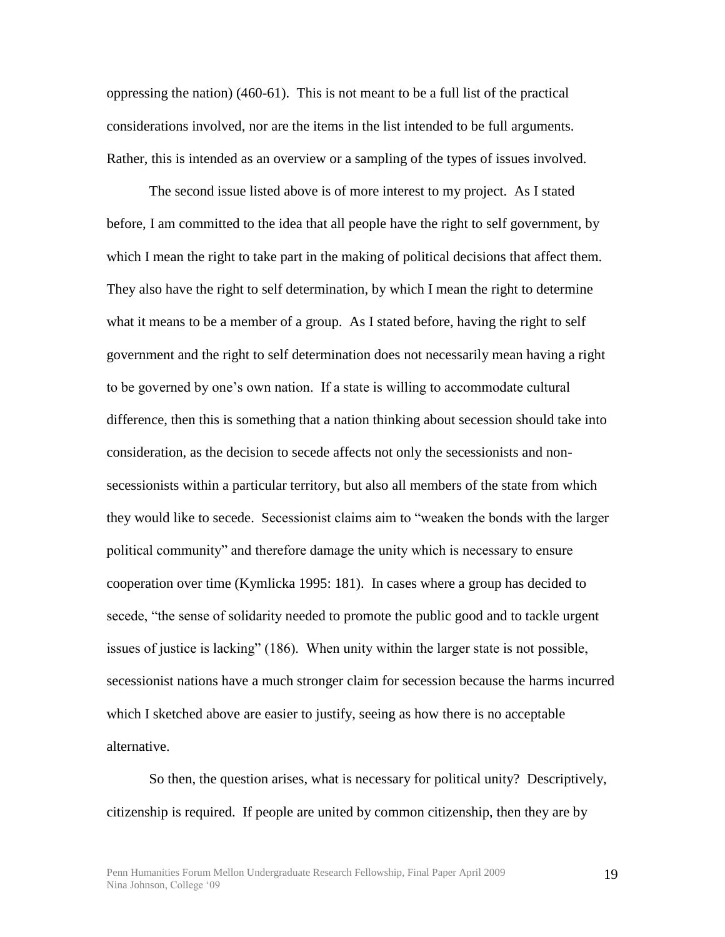oppressing the nation) (460-61). This is not meant to be a full list of the practical considerations involved, nor are the items in the list intended to be full arguments. Rather, this is intended as an overview or a sampling of the types of issues involved.

The second issue listed above is of more interest to my project. As I stated before, I am committed to the idea that all people have the right to self government, by which I mean the right to take part in the making of political decisions that affect them. They also have the right to self determination, by which I mean the right to determine what it means to be a member of a group. As I stated before, having the right to self government and the right to self determination does not necessarily mean having a right to be governed by one's own nation. If a state is willing to accommodate cultural difference, then this is something that a nation thinking about secession should take into consideration, as the decision to secede affects not only the secessionists and nonsecessionists within a particular territory, but also all members of the state from which they would like to secede. Secessionist claims aim to "weaken the bonds with the larger political community" and therefore damage the unity which is necessary to ensure cooperation over time (Kymlicka 1995: 181). In cases where a group has decided to secede, "the sense of solidarity needed to promote the public good and to tackle urgent issues of justice is lacking" (186). When unity within the larger state is not possible, secessionist nations have a much stronger claim for secession because the harms incurred which I sketched above are easier to justify, seeing as how there is no acceptable alternative.

So then, the question arises, what is necessary for political unity? Descriptively, citizenship is required. If people are united by common citizenship, then they are by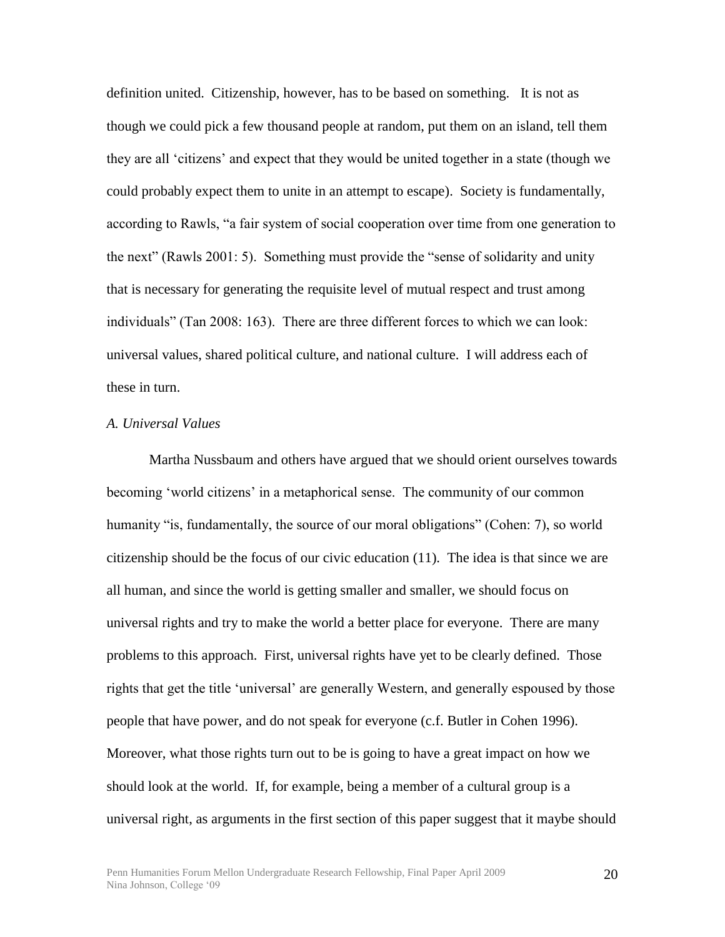definition united. Citizenship, however, has to be based on something. It is not as though we could pick a few thousand people at random, put them on an island, tell them they are all ‗citizens' and expect that they would be united together in a state (though we could probably expect them to unite in an attempt to escape). Society is fundamentally, according to Rawls, "a fair system of social cooperation over time from one generation to the next" (Rawls 2001: 5). Something must provide the "sense of solidarity and unity that is necessary for generating the requisite level of mutual respect and trust among individuals" (Tan 2008: 163). There are three different forces to which we can look: universal values, shared political culture, and national culture. I will address each of these in turn.

#### *A. Universal Values*

Martha Nussbaum and others have argued that we should orient ourselves towards becoming 'world citizens' in a metaphorical sense. The community of our common humanity "is, fundamentally, the source of our moral obligations" (Cohen: 7), so world citizenship should be the focus of our civic education (11). The idea is that since we are all human, and since the world is getting smaller and smaller, we should focus on universal rights and try to make the world a better place for everyone. There are many problems to this approach. First, universal rights have yet to be clearly defined. Those rights that get the title 'universal' are generally Western, and generally espoused by those people that have power, and do not speak for everyone (c.f. Butler in Cohen 1996). Moreover, what those rights turn out to be is going to have a great impact on how we should look at the world. If, for example, being a member of a cultural group is a universal right, as arguments in the first section of this paper suggest that it maybe should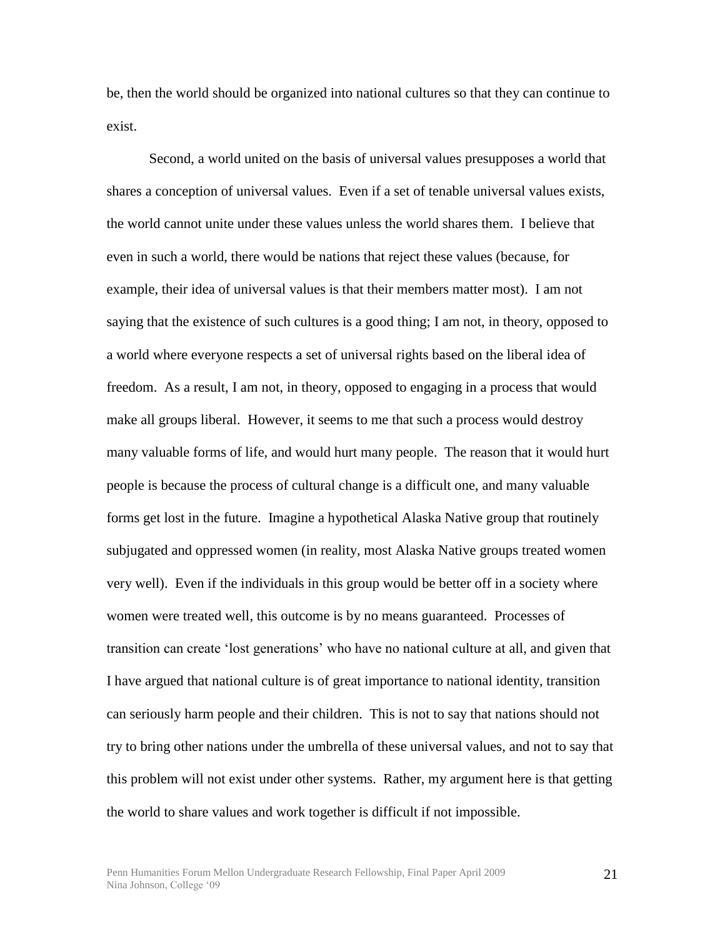be, then the world should be organized into national cultures so that they can continue to exist.

Second, a world united on the basis of universal values presupposes a world that shares a conception of universal values. Even if a set of tenable universal values exists, the world cannot unite under these values unless the world shares them. I believe that even in such a world, there would be nations that reject these values (because, for example, their idea of universal values is that their members matter most). I am not saying that the existence of such cultures is a good thing; I am not, in theory, opposed to a world where everyone respects a set of universal rights based on the liberal idea of freedom. As a result, I am not, in theory, opposed to engaging in a process that would make all groups liberal. However, it seems to me that such a process would destroy many valuable forms of life, and would hurt many people. The reason that it would hurt people is because the process of cultural change is a difficult one, and many valuable forms get lost in the future. Imagine a hypothetical Alaska Native group that routinely subjugated and oppressed women (in reality, most Alaska Native groups treated women very well). Even if the individuals in this group would be better off in a society where women were treated well, this outcome is by no means guaranteed. Processes of transition can create ‗lost generations' who have no national culture at all, and given that I have argued that national culture is of great importance to national identity, transition can seriously harm people and their children. This is not to say that nations should not try to bring other nations under the umbrella of these universal values, and not to say that this problem will not exist under other systems. Rather, my argument here is that getting the world to share values and work together is difficult if not impossible.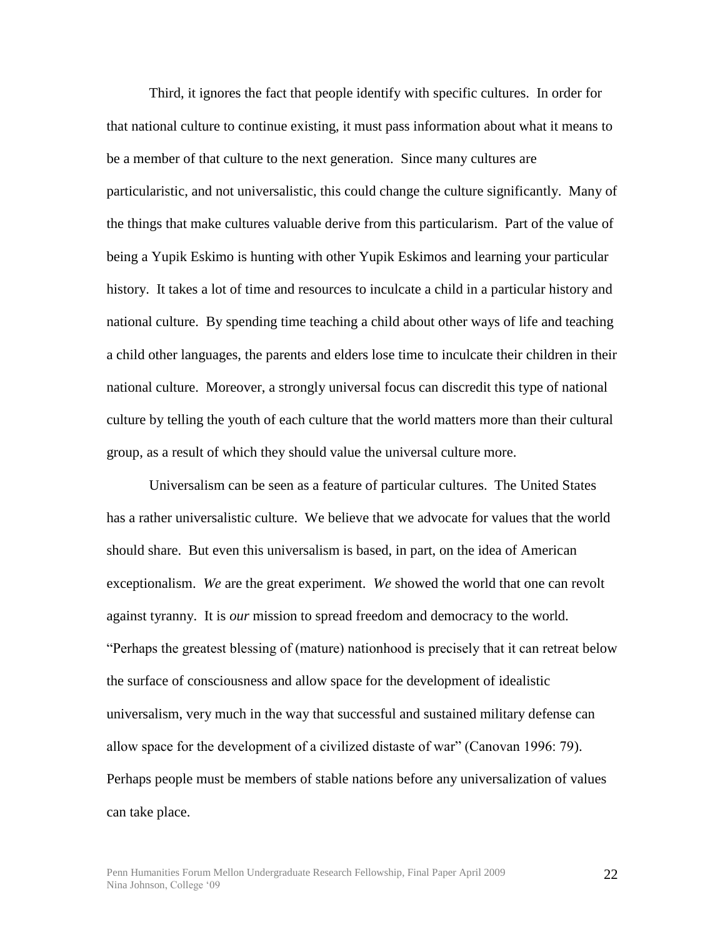Third, it ignores the fact that people identify with specific cultures. In order for that national culture to continue existing, it must pass information about what it means to be a member of that culture to the next generation. Since many cultures are particularistic, and not universalistic, this could change the culture significantly. Many of the things that make cultures valuable derive from this particularism. Part of the value of being a Yupik Eskimo is hunting with other Yupik Eskimos and learning your particular history. It takes a lot of time and resources to inculcate a child in a particular history and national culture. By spending time teaching a child about other ways of life and teaching a child other languages, the parents and elders lose time to inculcate their children in their national culture. Moreover, a strongly universal focus can discredit this type of national culture by telling the youth of each culture that the world matters more than their cultural group, as a result of which they should value the universal culture more.

Universalism can be seen as a feature of particular cultures. The United States has a rather universalistic culture. We believe that we advocate for values that the world should share. But even this universalism is based, in part, on the idea of American exceptionalism. *We* are the great experiment. *We* showed the world that one can revolt against tyranny. It is *our* mission to spread freedom and democracy to the world. ―Perhaps the greatest blessing of (mature) nationhood is precisely that it can retreat below the surface of consciousness and allow space for the development of idealistic universalism, very much in the way that successful and sustained military defense can allow space for the development of a civilized distaste of war" (Canovan 1996: 79). Perhaps people must be members of stable nations before any universalization of values can take place.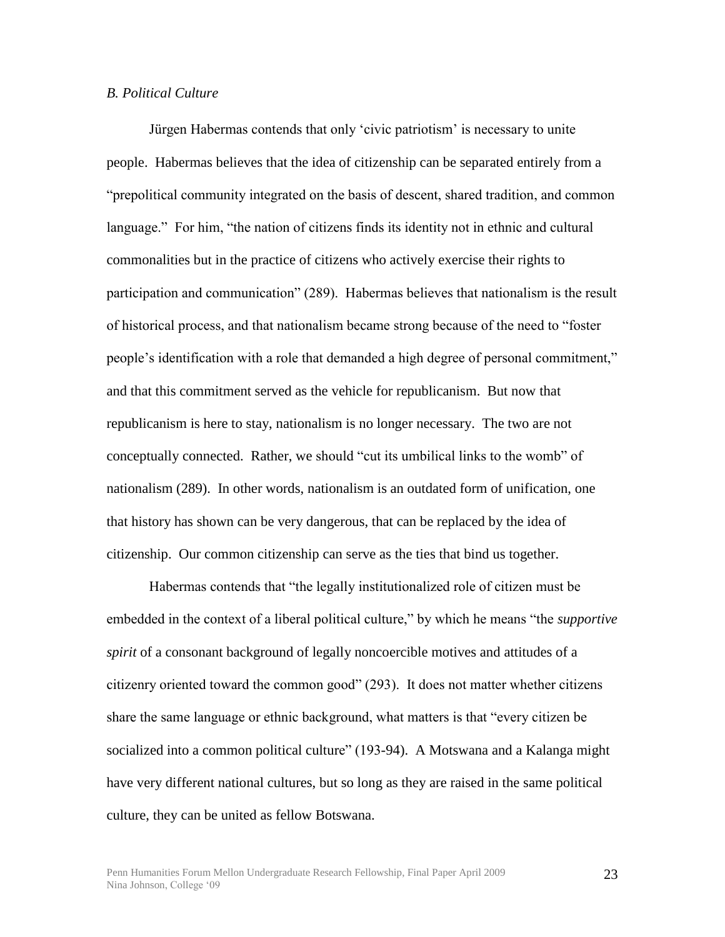### *B. Political Culture*

Jürgen Habermas contends that only 'civic patriotism' is necessary to unite people. Habermas believes that the idea of citizenship can be separated entirely from a "prepolitical community integrated on the basis of descent, shared tradition, and common language." For him, "the nation of citizens finds its identity not in ethnic and cultural commonalities but in the practice of citizens who actively exercise their rights to participation and communication" (289). Habermas believes that nationalism is the result of historical process, and that nationalism became strong because of the need to "foster people's identification with a role that demanded a high degree of personal commitment," and that this commitment served as the vehicle for republicanism. But now that republicanism is here to stay, nationalism is no longer necessary. The two are not conceptually connected. Rather, we should "cut its umbilical links to the womb" of nationalism (289). In other words, nationalism is an outdated form of unification, one that history has shown can be very dangerous, that can be replaced by the idea of citizenship. Our common citizenship can serve as the ties that bind us together.

Habermas contends that "the legally institutionalized role of citizen must be embedded in the context of a liberal political culture," by which he means "the *supportive spirit* of a consonant background of legally noncoercible motives and attitudes of a citizenry oriented toward the common good" (293). It does not matter whether citizens share the same language or ethnic background, what matters is that "every citizen be socialized into a common political culture" (193-94). A Motswana and a Kalanga might have very different national cultures, but so long as they are raised in the same political culture, they can be united as fellow Botswana.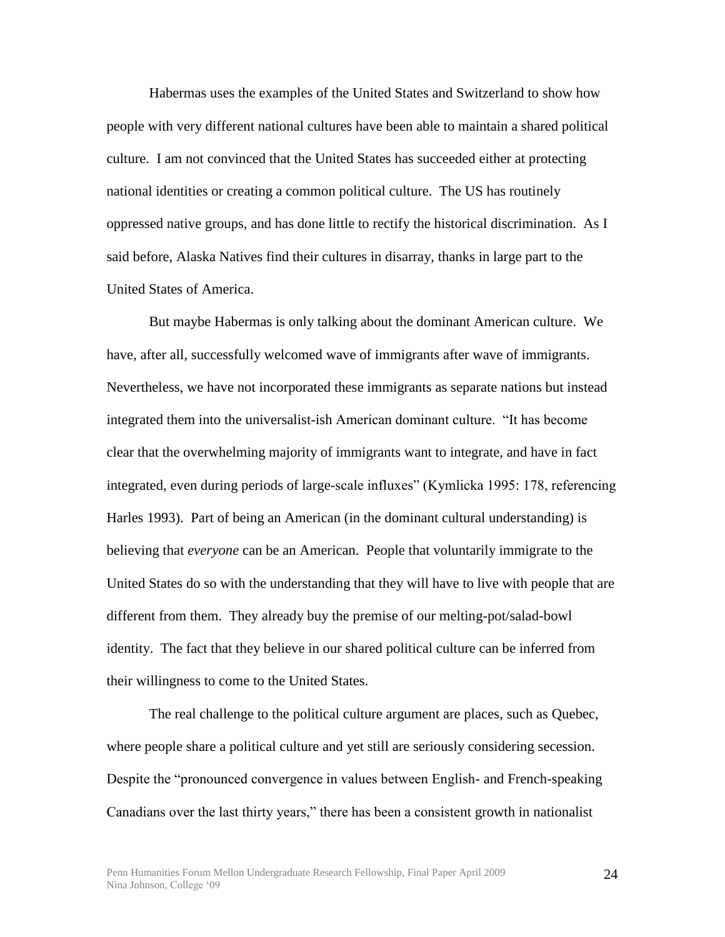Habermas uses the examples of the United States and Switzerland to show how people with very different national cultures have been able to maintain a shared political culture. I am not convinced that the United States has succeeded either at protecting national identities or creating a common political culture. The US has routinely oppressed native groups, and has done little to rectify the historical discrimination. As I said before, Alaska Natives find their cultures in disarray, thanks in large part to the United States of America.

But maybe Habermas is only talking about the dominant American culture. We have, after all, successfully welcomed wave of immigrants after wave of immigrants. Nevertheless, we have not incorporated these immigrants as separate nations but instead integrated them into the universalist-ish American dominant culture. "It has become clear that the overwhelming majority of immigrants want to integrate, and have in fact integrated, even during periods of large-scale influxes" (Kymlicka 1995: 178, referencing Harles 1993). Part of being an American (in the dominant cultural understanding) is believing that *everyone* can be an American. People that voluntarily immigrate to the United States do so with the understanding that they will have to live with people that are different from them. They already buy the premise of our melting-pot/salad-bowl identity. The fact that they believe in our shared political culture can be inferred from their willingness to come to the United States.

The real challenge to the political culture argument are places, such as Quebec, where people share a political culture and yet still are seriously considering secession. Despite the "pronounced convergence in values between English- and French-speaking Canadians over the last thirty years," there has been a consistent growth in nationalist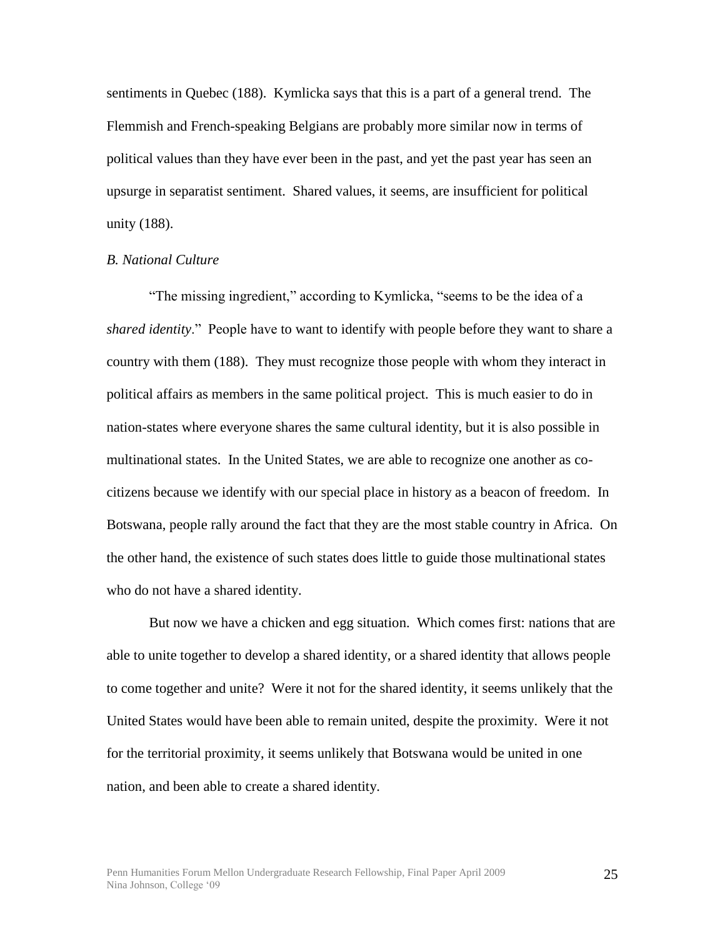sentiments in Quebec (188). Kymlicka says that this is a part of a general trend. The Flemmish and French-speaking Belgians are probably more similar now in terms of political values than they have ever been in the past, and yet the past year has seen an upsurge in separatist sentiment. Shared values, it seems, are insufficient for political unity (188).

#### *B. National Culture*

"The missing ingredient," according to Kymlicka, "seems to be the idea of a *shared identity*." People have to want to identify with people before they want to share a country with them (188). They must recognize those people with whom they interact in political affairs as members in the same political project. This is much easier to do in nation-states where everyone shares the same cultural identity, but it is also possible in multinational states. In the United States, we are able to recognize one another as cocitizens because we identify with our special place in history as a beacon of freedom. In Botswana, people rally around the fact that they are the most stable country in Africa. On the other hand, the existence of such states does little to guide those multinational states who do not have a shared identity.

But now we have a chicken and egg situation. Which comes first: nations that are able to unite together to develop a shared identity, or a shared identity that allows people to come together and unite? Were it not for the shared identity, it seems unlikely that the United States would have been able to remain united, despite the proximity. Were it not for the territorial proximity, it seems unlikely that Botswana would be united in one nation, and been able to create a shared identity.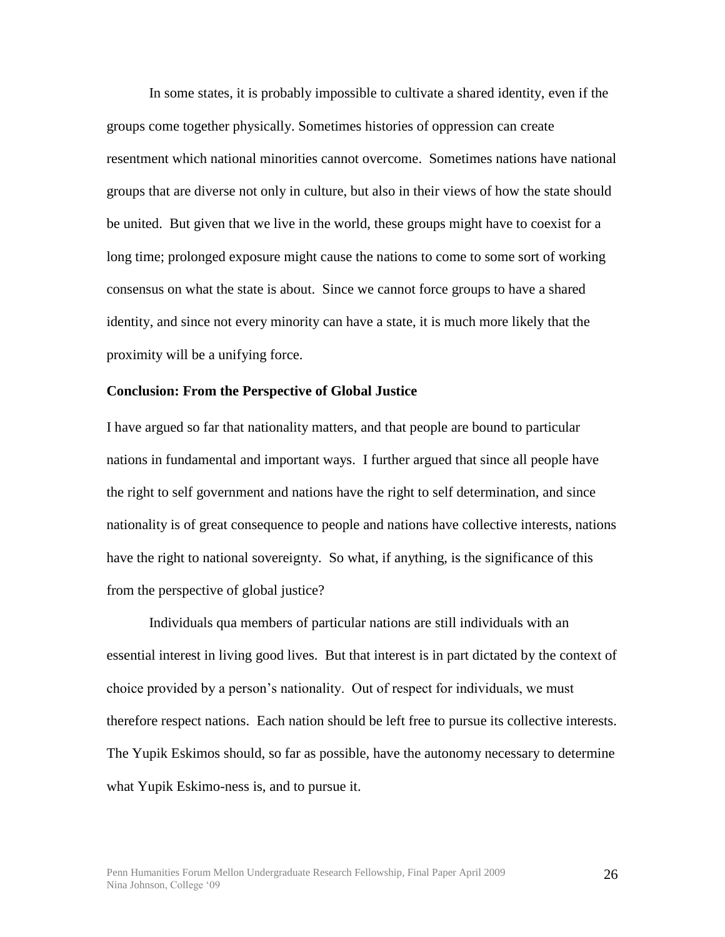In some states, it is probably impossible to cultivate a shared identity, even if the groups come together physically. Sometimes histories of oppression can create resentment which national minorities cannot overcome. Sometimes nations have national groups that are diverse not only in culture, but also in their views of how the state should be united. But given that we live in the world, these groups might have to coexist for a long time; prolonged exposure might cause the nations to come to some sort of working consensus on what the state is about. Since we cannot force groups to have a shared identity, and since not every minority can have a state, it is much more likely that the proximity will be a unifying force.

#### **Conclusion: From the Perspective of Global Justice**

I have argued so far that nationality matters, and that people are bound to particular nations in fundamental and important ways. I further argued that since all people have the right to self government and nations have the right to self determination, and since nationality is of great consequence to people and nations have collective interests, nations have the right to national sovereignty. So what, if anything, is the significance of this from the perspective of global justice?

Individuals qua members of particular nations are still individuals with an essential interest in living good lives. But that interest is in part dictated by the context of choice provided by a person's nationality. Out of respect for individuals, we must therefore respect nations. Each nation should be left free to pursue its collective interests. The Yupik Eskimos should, so far as possible, have the autonomy necessary to determine what Yupik Eskimo-ness is, and to pursue it.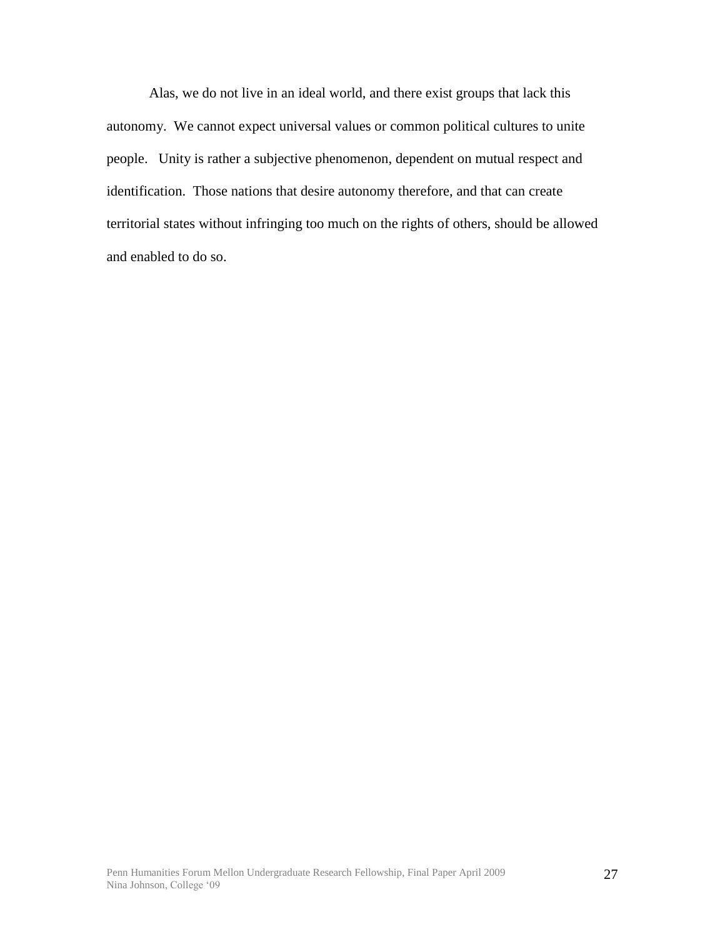Alas, we do not live in an ideal world, and there exist groups that lack this autonomy. We cannot expect universal values or common political cultures to unite people. Unity is rather a subjective phenomenon, dependent on mutual respect and identification. Those nations that desire autonomy therefore, and that can create territorial states without infringing too much on the rights of others, should be allowed and enabled to do so.